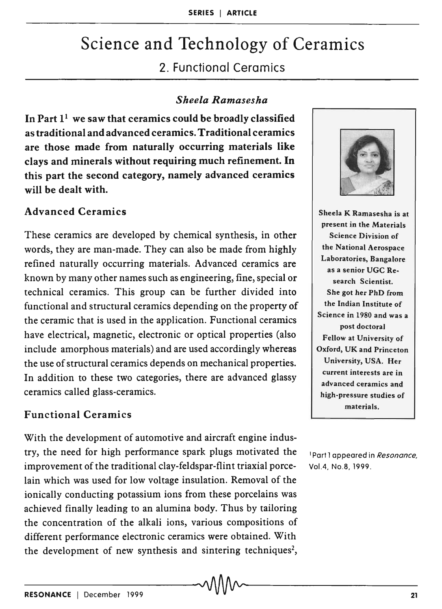# Science and Technology of Ceramics 2. Functional Ceramics

## *Sheela Ramasesha*

In Part  $1<sup>1</sup>$  we saw that ceramics could be broadly classified as traditional and advanced ceramics. Traditional ceramics are those made from naturally occurring materials like clays and minerals without requiring much refinement. In this part the second category, namely advanced ceramics will be dealt with.

## Advanced Ceramics

These ceramics are developed by chemical synthesis, in other words, they are man-made. They can also be made from highly refined naturally occurring materials. Advanced ceramics are known by many other names such as engineering, fine, special or technical ceramics. This group can be further divided into functional and structural ceramics depending on the property of the ceramic that is used in the application. Functional ceramics have electrical, magnetic, electronic or optical properties (also include amorphous materials) and are used accordingly whereas the use of structural ceramics depends on mechanical properties. In addition to these two categories, there are advanced glassy ceramics called glass-ceramics.

## Functional Ceramics

With the development of automotive and aircraft engine industry, the need for high performance spark plugs motivated the improvement of the traditional clay-feldspar-flint triaxial porcelain which was used for low voltage insulation. Removal of the ionically conducting potassium ions from these porcelains was achieved finally leading to an alumina body. Thus by tailoring the concentration of the alkali ions, various compositions of different performance electronic ceramics were obtained. With the development of new synthesis and sintering techniques<sup>2</sup>,



Sheela K Ramasesha is at present in the Materials Science Division of the National Aerospace Laboratories, Bangalore as a senior UGC Research Scientist. She got her PhD from the Indian Institute of Science in 1980 and was a post doctoral Fellow at University of Oxford, UK and Princeton University, USA. Her current interests are in advanced ceramics and high-pressure studies of materials.

I Part 1 appeared in *Resonance,*  Vol.4, No.8, 1999.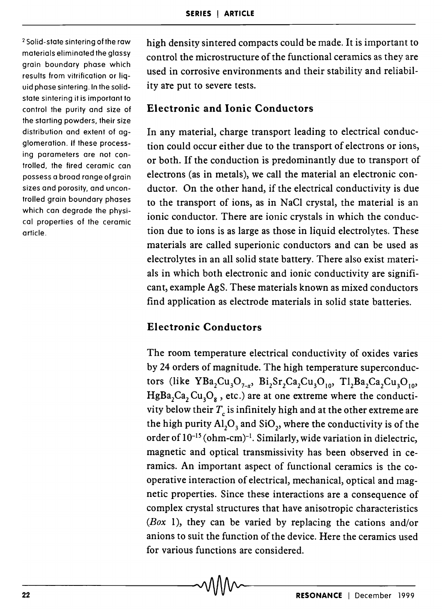2 Solid-state sintering of the raw materials eliminated the glassy grain boundary phase which results from vitrification or liquid phase sintering. In the solidstate sintering it is important to control the purity and size of the starting powders, their size distribution and extent of agglomeration. If these processing parameters are not controlled, the fired ceramic can possess a broad range of grain sizes and porosity, and uncontrolled grain boundary phases which can degrade the physical properties of the ceramic article.

high density sintered compacts could be made. It is important to control the microstructure of the functional ceramics as they are used in corrosive environments and their stability and reliability are put to severe tests.

# Electronic and Ionic Conductors

In any material, charge transport leading to electrical conduction could occur either due to the transport of electrons or ions, or both. If the conduction is predominantly due to transport of electrons (as in metals), we call the material an electronic conductor. On the other hand, if the electrical conductivity is due to the transport of ions, as in NaCl crystal, the material is an ionic conductor. There are ionic crystals in which the conduction due to ions is as large as those in liquid electrolytes. These materials are called superionic conductors and can be used as electrolytes in an all solid state battery. There also exist materials in which both electronic and ionic conductivity are significant, example AgS. These materials known as mixed conductors find application as electrode materials in solid state batteries.

# Electronic Conductors

The room temperature electrical conductivity of oxides varies by 24 orders of magnitude. The high temperature superconductors (like YBa, Cu<sub>3</sub>O<sub>7-x</sub>, Bi<sub>2</sub>Sr, Ca<sub>2</sub>Cu<sub>3</sub>O<sub>10</sub>, Tl<sub>2</sub>Ba, Ca<sub>2</sub>Cu<sub>3</sub>O<sub>10</sub>, HgBa<sub>2</sub>Ca<sub>2</sub> Cu<sub>3</sub>O<sub>2</sub>, etc.) are at one extreme where the conductivity below their  $T<sub>c</sub>$  is infinitely high and at the other extreme are the high purity  $\operatorname{Al_2O_3}$  and  $\operatorname{SiO_2}$ , where the conductivity is of the order of  $10^{-15}$  (ohm-cm)<sup>-1</sup>. Similarly, wide variation in dielectric, magnetic and optical transmissivity has been observed in ceramics. An important aspect of functional ceramics is the cooperative interaction of electrical, mechanical, optical and magnetic properties. Since these interactions are a consequence of complex crystal structures that have anisotropic characteristics *(Box* 1), they can be varied by replacing the cations and/or anions to suit the function of the device. Here the ceramics used for various functions are considered.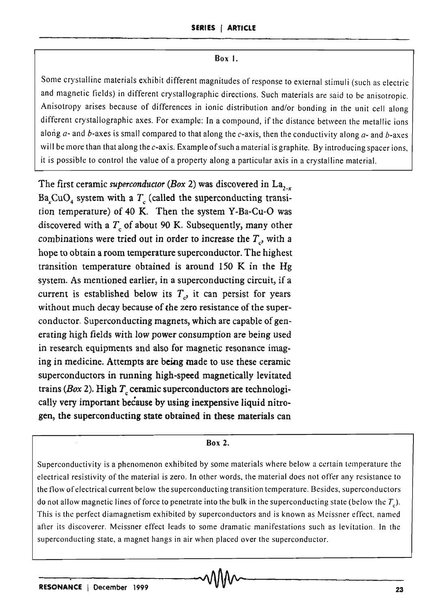#### Box I.

Some crystalline materials exhibit different magnitudes of response to external stimuli (such as electric and magnetic fields) in different crystallographic directions. Such materials are said to be anisotropic. Anisotropy arises because of differences in ionic distribution and/or bonding in the unit cell along different crystallographic axes. For example: In a compound, if the distance between the metallic ions along *a-* and b-axes is small compared to that along the c-axis, then the conductivity along *a-* and b-axes will be more than that along the  $c$ -axis. Example of such a material is graphite. By introducing spacer ions, it is possible to control the value of a property along a particular axis in a crystalline material.

The first ceramic *superconductor (Box 2)* was discovered in  $\mathrm{La}_{2\text{-}x}$  $Ba_xCuO_4$  system with a  $T_c$  (called the superconducting transition temperature) of 40 K. Then the system Y-Ba-Cu-O was discovered with a  $T_c$  of about 90 K. Subsequently, many other combinations were tried out in order to increase the  $T_c$ , with a hope to obtain a room temperature superconductor. The highest transition temperature obtained is around  $150 \text{ K}$  in the Hg system. As mentioned earlier, in a superconducting circuit, if a current is established below its  $T<sub>c</sub>$ , it can persist for years without much decay because of the zero resistance of the superconductor. Superconducting magnets, which are capable of generating high fields with low power consumption are being used in research equipments and also for magnetic resonance imaging in medicine. Attempts are being made to use these ceramic superconductors in running high-speed magnetically levitated trains (Box 2). High  $T_c$  ceramic superconductors are technologically very important because by using inexpensive liquid nitrogen, the superconducting state obtained in these materials can

#### Box 2.

Superconductivity is a phenomenon exhibited by some materials where below a certain temperature the electrical resistivity of the material is zero. In other words, the material does not offer any resistance to the tlow of electrical current below the superconducting transition temperature. Besides, superconductors do not allow magnetic lines of force to penetrate into the bulk in the superconducting state (below the  $T_c$ ). This is the perfect diamagnetism exhibited by superconductors and is known as Meissner effect. named after its discoverer. Meissner effect leads to some dramatic manifestations such as levitation. In the superconducting state, a magnet hangs in air when placed over the superconductor.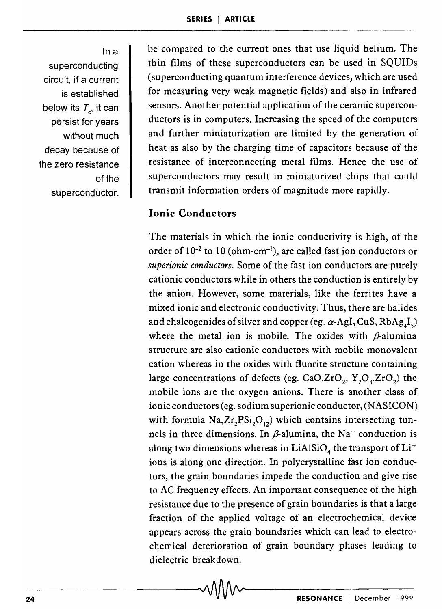In a superconducting circuit, if a current is established below its  $T_e$ , it can persist for years without much decay because of the zero resistance of the superconductor.

be compared to the current ones that use liquid helium. The thin films of these superconductors can be used in SQUIDs (superconducting quantum interference devices, which are used for measuring very weak magnetic fields) and also in infrared sensors. Another potential application of the ceramic superconductors is in computers. Increasing the speed of the computers and further miniaturization are limited by the generation of heat as also by the charging time of capacitors because of the resistance of interconnecting metal films. Hence the use of superconductors may result in miniaturized chips that could transmit information orders of magnitude more rapidly.

## Ionic Conductors

The materials in which the ionic conductivity is high, of the order of  $10^{-2}$  to  $10$  (ohm-cm<sup>-1</sup>), are called fast ion conductors or *superionic conductors.* Some of the fast ion conductors are purely cationic conductors while in others the conduction is entirely by the anion. However, some materials, like the ferrites have a mixed ionic and electronic conductivity. Thus, there are halides and chalcogenides of silver and copper (eg.  $\alpha$ -AgI, CuS, RbAg $_4$ I<sub>s</sub>) where the metal ion is mobile. The oxides with  $\beta$ -alumina structure are also cationic conductors with mobile monovalent cation whereas in the oxides with fluorite structure containing large concentrations of defects (eg. CaO.ZrO<sub>2</sub>, Y<sub>2</sub>O<sub>3</sub>.ZrO<sub>2</sub>) the mobile ions are the oxygen anions. There is another class of ionic conductors (eg. sodium superionic conductor, (NASICON) with formula  $Na<sub>3</sub>Zr<sub>2</sub>PSi<sub>2</sub>O<sub>12</sub>$  which contains intersecting tunnels in three dimensions. In  $\beta$ -alumina, the Na<sup>+</sup> conduction is along two dimensions whereas in LiAlSiO<sub>4</sub> the transport of  $Li<sup>+</sup>$ ions is along one direction. In polycrystalline fast ion conductors, the grain boundaries impede the conduction and give rise to AC frequency effects. An important consequence of the high resistance due to the presence of grain boundaries is that a large fraction of the applied voltage of an electrochemical device appears across the grain boundaries which can lead to electrochemical deterioration of grain boundary phases leading to dielectric breakdown.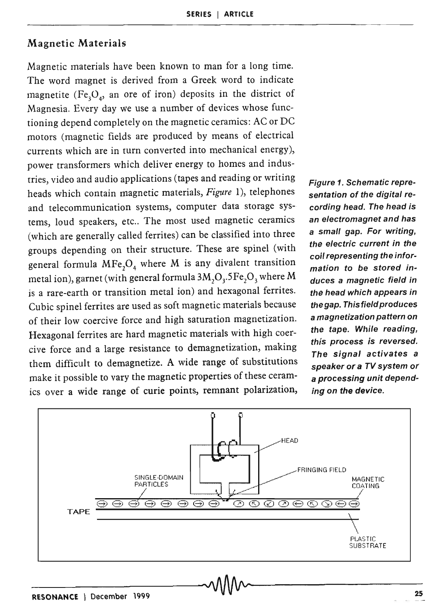### Magnetic Materials

Magnetic materials have been known to man for a long time. The word magnet is derived from a Greek word to indicate magnetite (Fe<sub>3</sub>O<sub>4</sub>, an ore of iron) deposits in the district of Magnesia. Every day we use a number of devices whose functioning depend completely on the magnetic ceramics: AC or DC motors (magnetic fields are produced by means of electrical currents which are in turn converted into mechanical energy), power transformers which deliver energy to homes and industries, video and audio applications (tapes and reading or writing heads which contain magnetic materials, *Figure* 1), telephones and telecommunication systems, computer data storage systems, loud speakers, etc.. The most used magnetic ceramics (which are generally called ferrites) can be classified into three groups depending on their structure. These are spinel (with general formula  $MFe<sub>2</sub>O<sub>4</sub>$  where M is any divalent transition metal ion), garnet (with general formula  $3M_2O_3$ .5Fe<sub>2</sub>O<sub>3</sub> where M is a rare-earth or transition metal ion) and hexagonal ferrites. Cubic spinel ferrites are used as soft magnetic materials because of their low coercive force and high saturation magnetization. Hexagonal ferrites are hard magnetic materials with high coercive force and a large resistance to demagnetization, making them difficult to demagnetize. A wide range of substitutions make it possible to vary the magnetic properties of these ceramics over a wide range of curie points, remnant polarization,

Figure 1. Schematic representation of the digital recording head. The head is an electromagnet and has a small gap. For writing, the electric current in the coil representing the information to be stored induces a magnetic field in the head which appears in the gap. This field produces a magnetization pattern on the tape. While reading, this process is reversed. The signal activates a speaker or a TV system or a processing unit depending on the device.

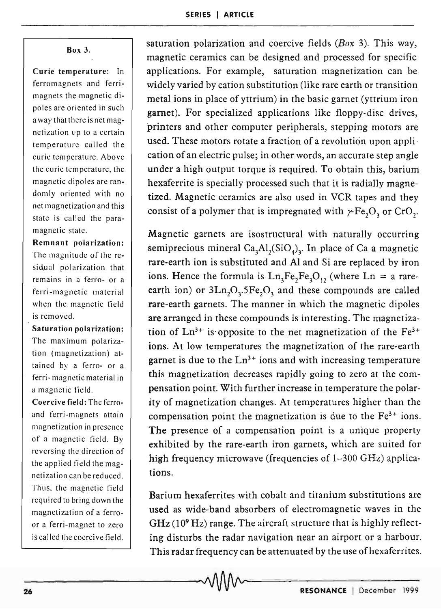#### Box 3.

Curie temperature: In ferromagnets and ferrimagnets the magnetic dipoles are oriented in such a way that there is net magnetization up to a certain temperature called the curie temperature. Above the curie temperature, the magnetic dipoles are randomly oriented with no net magnetization and this state is called the paramagnetic state.

Remnant polarization: The magnitude of the residual polarization that remains in a ferro- or a ferri-magnetic material when the magnetic field is removed.

Saturation polarization: The maximum polarization (magnetization) attained by a ferro- or a ferri- magnetic material in a magnetic field.

Coercive field: The ferroand ferri-magnets attain magnetization in presence of a magnetic field. By reversing the direction of the applied field the magnetization can be reduced. Thus, the magnetic field required to bring down the magnetization of a ferroor a ferri-magnet to zero is called the coercive field.

saturation polarization and coercive fields *(Box* 3). This way, magnetic ceramics can be designed and processed for specific applications. For example, saturation magnetization can be widely varied by cation substitution (like rare earth or transition metal ions in place of yttrium) in the basic garnet (yttrium iron garnet). For specialized applications like floppy-disc drives, printers and other computer peripherals, stepping motors are used. These motors rotate a fraction of a revolution upon application of an electric pulse; in other words, an accurate step angle under a high output torque is required. To obtain this, barium hexaferrite is specially processed such that it is radially magnetized. Magnetic ceramics are also used in VCR tapes and they consist of a polymer that is impregnated with  $\gamma$ -Fe<sub>2</sub>O<sub>3</sub> or CrO<sub>2</sub>.

Magnetic garnets are isostructural with naturally occurring semiprecious mineral  $Ca<sub>3</sub>Al<sub>3</sub>(SiO<sub>4</sub>)<sub>3</sub>$ . In place of Ca a magnetic rare-earth ion is substituted and Al and Si are replaced by iron ions. Hence the formula is  $Ln<sub>3</sub>Fe<sub>3</sub>Fe<sub>3</sub>O<sub>12</sub>$  (where Ln = a rareearth ion) or  $3\text{Ln}_2\text{O}_3$ .5Fe<sub>2</sub>O<sub>3</sub> and these compounds are called rare-earth garnets. The manner in which the magnetic dipoles are arranged in these compounds is interesting. The magnetization of  $Ln^{3+}$  is opposite to the net magnetization of the  $Fe^{3+}$ ions. At low temperatures the magnetization of the rare-earth garnet is due to the  $Ln^{3+}$  ions and with increasing temperature this magnetization decreases rapidly going to zero at the compensation point. With further increase in temperature the polarity of magnetization changes. At temperatures higher than the compensation point the magnetization is due to the  $Fe<sup>3+</sup>$  ions. The presence of a compensation point is a unique property exhibited by the rare-earth iron garnets, which are suited for high frequency microwave (frequencies of 1–300 GHz) applications.

Barium hexaferrites with cobalt and titanium substitutions are used as wide-band absorbers of electromagnetic waves in the  $GHz(10<sup>9</sup> Hz)$  range. The aircraft structure that is highly reflecting disturbs the radar navigation near an airport or a harbour. This radar frequency can be attenuated by the use of hexaferrites.<br>  $\sim \sqrt{M}M$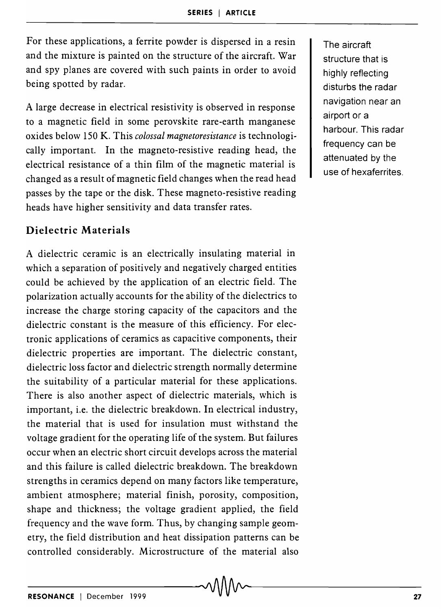For these applications, a ferrite powder is dispersed in a resin and the mixture is painted on the structure of the aircraft. War and spy planes are covered with such paints in order to avoid being spotted by radar.

A large decrease in electrical resistivity is observed in response to a magnetic field in some perovskite rare-earth manganese oxides below 150 K. This *colossal magnetoresistance* is technologically important. In the magneto-resistive reading head, the electrical resistance of a thin film of the magnetic material is changed as a result of magnetic field changes when the read head passes by the tape or the disk. These magneto-resistive reading heads have higher sensitivity and data transfer rates.

# Dielectric Materials

A dielectric ceramic is an electrically insulating material in which a separation of positively and negatively charged entities could be achieved by the application of an electric field. The polarization actually accounts for the ability of the dielectrics to increase the charge storing capacity of the capacitors and the dielectric constant is the measure of this efficiency. For electronic applications of ceramics as capacitive components, their dielectric properties are important. The dielectric constant, dielectric loss factor and dielectric strength normally determine the suitability of a particular material for these applications. There is also another aspect of dielectric materials, which is important, i.e. the dielectric breakdown. In electrical industry, the material that is used for insulation must withstand the voltage gradient for the operating life of the system. But failures occur when an electric short circuit develops across the material and this failure is called dielectric breakdown. The breakdown strengths in ceramics depend on many factors like temperature, ambient atmosphere; material finish, porosity, composition, shape and thickness; the voltage gradient applied, the field frequency and the wave form. Thus, by changing sample geometry, the field distribution and heat dissipation patterns can be controlled considerably. Microstructure of the material also

The aircraft structure that is highly reflecting disturbs the radar navigation near an airport or a harbour. This radar frequency can be attenuated by the use of hexaferrites.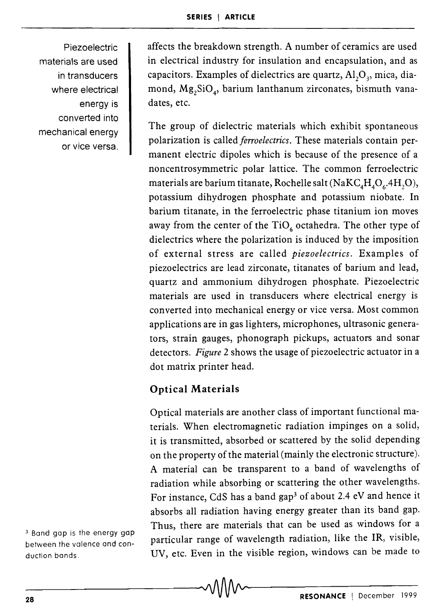Piezoelectric materials are used in transducers where electrical energy is converted into mechanical energy or vice versa. affects the breakdown strength. A number of ceramics are used in electrical industry for insulation and encapsulation, and as capacitors. Examples of dielectrics are quartz,  $\text{Al}_2\text{O}_3$ , mica, diamond,  $\text{Mg}_{2}\text{SiO}_{4}$ , barium lanthanum zirconates, bismuth vanadates, etc.

The group of dielectric materials which exhibit spontaneous polarization is called *ferroelectrics*. These materials contain permanent electric dipoles which is because of the presence of a noncentrosymmetric polar lattice. The common ferroelectric materials are barium titanate, Rochelle salt ( $\rm NaKC_{\rm 4}H_{\rm 4}O_{\rm 6}$ .4 $\rm H_{\rm 2}O$ ), potassium dihydrogen phosphate and potassium niobate. In barium titanate, in the ferroelectric phase titanium ion moves away from the center of the  $TiO<sub>6</sub>$  octahedra. The other type of dielectrics where the polarization is induced by the imposition of external stress are called *piezoelectrics.* Examples of piezoelectrics are lead zirconate, titanates of barium and lead, quartz and ammonium dihydrogen phosphate. Piezoelectric materials are used in transducers where electrical energy is converted into mechanical energy or vice versa. Most common applications are in gas lighters, microphones, ultrasonic generators, strain gauges, phonograph pickups, actuators and sonar detectors. *Figure* 2 shows the usage of piezoelectric actuator in a dot matrix printer head.

# **Optical Materials**

Optical materials are another class of important functional materials. When electromagnetic radiation impinges on a solid, it is transmitted, absorbed or scattered by the solid depending on the property of the material (mainly the electronic structure). A material can be transparent to a band of wavelengths of radiation while absorbing or scattering the other wavelengths. For instance, CdS has a band gap<sup>3</sup> of about 2.4 eV and hence it absorbs all radiation having energy greater than its band gap. Thus, there are materials that can be used as windows for a particular range of wavelength radiation, like the IR, visible, UV, etc. Even in the visible region, windows can be made to

<sup>3</sup> Band gap is the energy gap between the valence and conduction bands.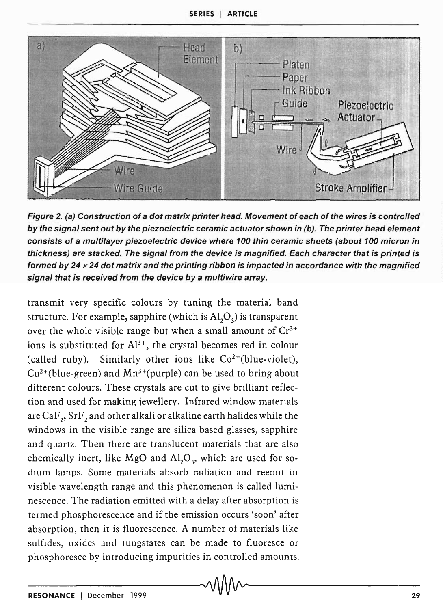

Figure 2. (a) Construction of a dot matrix printer head. Movement of each of the wires is controlled by the signal sent out by the piezoelectric ceramic actuator shown in (b). The printer head element consists of a multilayer piezoelectric device where 100 thin ceramic sheets (about 100 micron in thickness) are stacked. The signal from the device is magnified. Each character that is printed is formed by 24 *x* 24 dot matrix and the printing ribbon is impacted in accordance with the magnified signal that is received from the device by a multiwire array.

transmit very specific colours by tuning the material band structure. For example, sapphire (which is  $\operatorname{Al_2O_3})$  is transparent over the whole visible range but when a small amount of  $Cr^{3+}$ ions is substituted for  $Al^{3+}$ , the crystal becomes red in colour (called ruby). Similarly other ions like  $Co<sup>2+</sup>(blue- violet)$ ,  $Cu^{2+}$ (blue-green) and  $Mn^{3+}$ (purple) can be used to bring about different colours. These crystals are cut to give brilliant reflection and used for making jewellery. Infrared window materials are Ca $\mathrm{F}_2\mathrm{,SrF}_2$  and other alkali or alkaline earth halides while the windows in the visible range are silica based glasses, sapphire and quartz. Then there are translucent materials that are also chemically inert, like MgO and  $\text{Al}_2\text{O}_3$ , which are used for sodium lamps. Some materials absorb radiation and reemit in visible wavelength range and this phenomenon is called luminescence. The radiation emitted with a delay after absorption is termed phosphorescence and if the emission occurs 'soon' after absorption, then it is fluorescence. A number of materials like sulfides, oxides and tungstates can be made to fluoresce or phosphoresce by introducing impurities in controlled amounts.